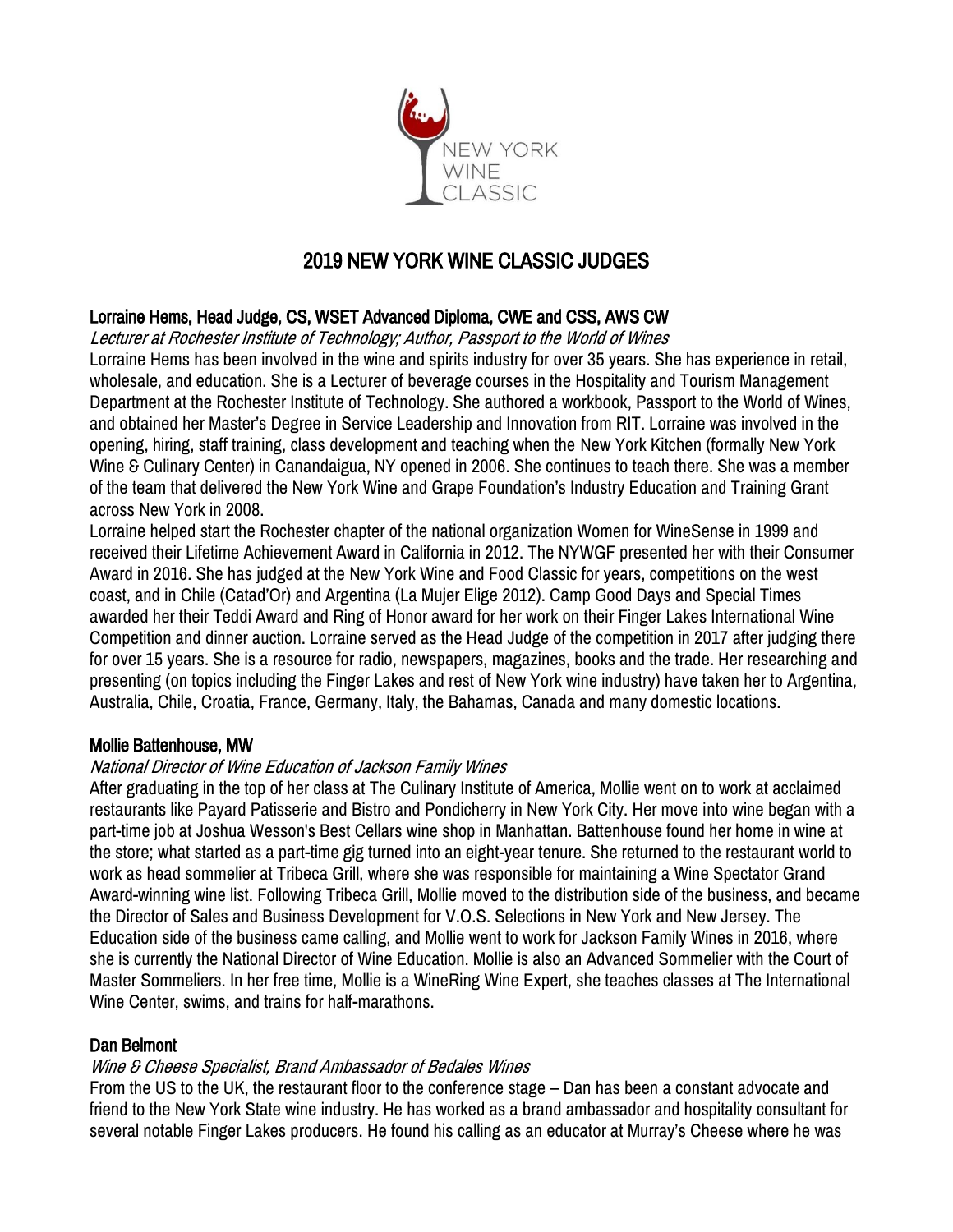

# 2019 NEW YORK WINE CLASSIC JUDGES

# Lorraine Hems, Head Judge, CS, WSET Advanced Diploma, CWE and CSS, AWS CW

Lecturer at Rochester Institute of Technology; Author, Passport to the World of Wines Lorraine Hems has been involved in the wine and spirits industry for over 35 years. She has experience in retail, wholesale, and education. She is a Lecturer of beverage courses in the Hospitality and Tourism Management Department at the Rochester Institute of Technology. She authored a workbook, Passport to the World of Wines, and obtained her Master's Degree in Service Leadership and Innovation from RIT. Lorraine was involved in the opening, hiring, staff training, class development and teaching when the New York Kitchen (formally New York Wine & Culinary Center) in Canandaigua, NY opened in 2006. She continues to teach there. She was a member of the team that delivered the New York Wine and Grape Foundation's Industry Education and Training Grant across New York in 2008.

Lorraine helped start the Rochester chapter of the national organization Women for WineSense in 1999 and received their Lifetime Achievement Award in California in 2012. The NYWGF presented her with their Consumer Award in 2016. She has judged at the New York Wine and Food Classic for years, competitions on the west coast, and in Chile (Catad'Or) and Argentina (La Mujer Elige 2012). Camp Good Days and Special Times awarded her their Teddi Award and Ring of Honor award for her work on their Finger Lakes International Wine Competition and dinner auction. Lorraine served as the Head Judge of the competition in 2017 after judging there for over 15 years. She is a resource for radio, newspapers, magazines, books and the trade. Her researching and presenting (on topics including the Finger Lakes and rest of New York wine industry) have taken her to Argentina, Australia, Chile, Croatia, France, Germany, Italy, the Bahamas, Canada and many domestic locations.

### Mollie Battenhouse, MW

### National Director of Wine Education of Jackson Family Wines

After graduating in the top of her class at The Culinary Institute of America, Mollie went on to work at acclaimed restaurants like Payard Patisserie and Bistro and Pondicherry in New York City. Her move into wine began with a part-time job at Joshua Wesson's Best Cellars wine shop in Manhattan. Battenhouse found her home in wine at the store; what started as a part-time gig turned into an eight-year tenure. She returned to the restaurant world to work as head sommelier at Tribeca Grill, where she was responsible for maintaining a Wine Spectator Grand Award-winning wine list. Following Tribeca Grill, Mollie moved to the distribution side of the business, and became the Director of Sales and Business Development for V.O.S. Selections in New York and New Jersey. The Education side of the business came calling, and Mollie went to work for Jackson Family Wines in 2016, where she is currently the National Director of Wine Education. Mollie is also an Advanced Sommelier with the Court of Master Sommeliers. In her free time, Mollie is a WineRing Wine Expert, she teaches classes at The International Wine Center, swims, and trains for half-marathons.

### Dan Belmont

### Wine & Cheese Specialist, Brand Ambassador of Bedales Wines

From the US to the UK, the restaurant floor to the conference stage – Dan has been a constant advocate and friend to the New York State wine industry. He has worked as a brand ambassador and hospitality consultant for several notable Finger Lakes producers. He found his calling as an educator at Murray's Cheese where he was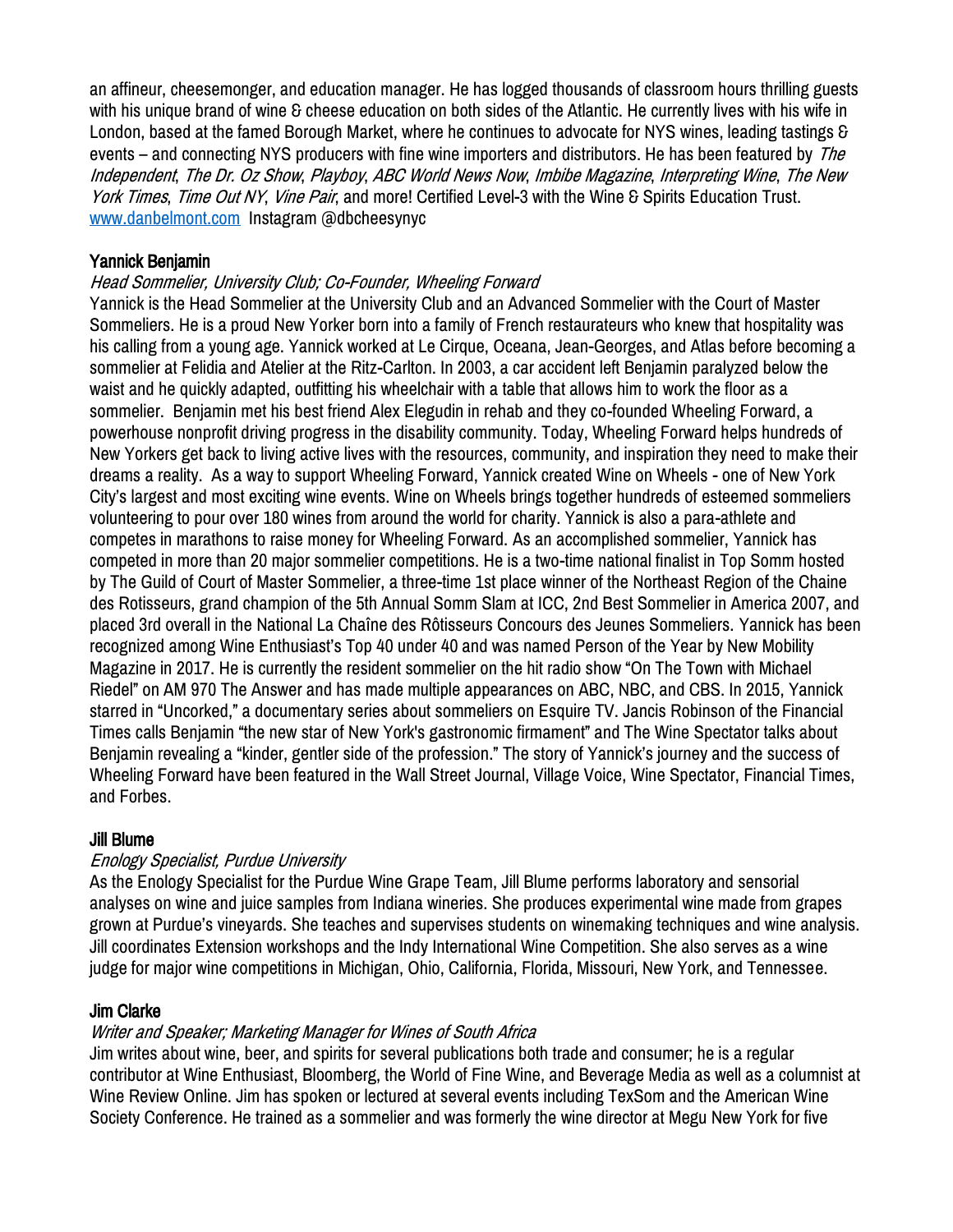an affineur, cheesemonger, and education manager. He has logged thousands of classroom hours thrilling guests with his unique brand of wine & cheese education on both sides of the Atlantic. He currently lives with his wife in London, based at the famed Borough Market, where he continues to advocate for NYS wines, leading tastings & events – and connecting NYS producers with fine wine importers and distributors. He has been featured by The Independent, The Dr. Oz Show, Playboy, ABC World News Now, Imbibe Magazine, Interpreting Wine, The New York Times, Time Out NY, Vine Pair, and more! Certified Level-3 with the Wine & Spirits Education Trust. [www.danbelmont.com](http://www.danbelmont.com/) Instagram @dbcheesynyc

### Yannick Benjamin

### Head Sommelier, University Club; Co-Founder, Wheeling Forward

Yannick is the Head Sommelier at the University Club and an Advanced Sommelier with the Court of Master Sommeliers. He is a proud New Yorker born into a family of French restaurateurs who knew that hospitality was his calling from a young age. Yannick worked at Le Cirque, Oceana, Jean-Georges, and Atlas before becoming a sommelier at Felidia and Atelier at the Ritz-Carlton. In 2003, a car accident left Benjamin paralyzed below the waist and he quickly adapted, outfitting his wheelchair with a table that allows him to work the floor as a sommelier. Benjamin met his best friend Alex Elegudin in rehab and they co-founded Wheeling Forward, a powerhouse nonprofit driving progress in the disability community. Today, Wheeling Forward helps hundreds of New Yorkers get back to living active lives with the resources, community, and inspiration they need to make their dreams a reality. As a way to support Wheeling Forward, Yannick created Wine on Wheels - one of New York City's largest and most exciting wine events. Wine on Wheels brings together hundreds of esteemed sommeliers volunteering to pour over 180 wines from around the world for charity. Yannick is also a para-athlete and competes in marathons to raise money for Wheeling Forward. As an accomplished sommelier, Yannick has competed in more than 20 major sommelier competitions. He is a two-time national finalist in Top Somm hosted by The Guild of Court of Master Sommelier, a three-time 1st place winner of the Northeast Region of the Chaine des Rotisseurs, grand champion of the 5th Annual Somm Slam at ICC, 2nd Best Sommelier in America 2007, and placed 3rd overall in the National La Chaîne des Rôtisseurs Concours des Jeunes Sommeliers. Yannick has been recognized among Wine Enthusiast's Top 40 under 40 and was named Person of the Year by New Mobility Magazine in 2017. He is currently the resident sommelier on the hit radio show "On The Town with Michael Riedel" on AM 970 The Answer and has made multiple appearances on ABC, NBC, and CBS. In 2015, Yannick starred in "Uncorked," a documentary series about sommeliers on Esquire TV. Jancis Robinson of the Financial Times calls Benjamin "the new star of New York's gastronomic firmament" and The Wine Spectator talks about Benjamin revealing a "kinder, gentler side of the profession." The story of Yannick's journey and the success of Wheeling Forward have been featured in the Wall Street Journal, Village Voice, Wine Spectator, Financial Times, and Forbes.

### Jill Blume

### Enology Specialist, Purdue University

As the Enology Specialist for the Purdue Wine Grape Team, Jill Blume performs laboratory and sensorial analyses on wine and juice samples from Indiana wineries. She produces experimental wine made from grapes grown at Purdue's vineyards. She teaches and supervises students on winemaking techniques and wine analysis. Jill coordinates Extension workshops and the Indy International Wine Competition. She also serves as a wine judge for major wine competitions in Michigan, Ohio, California, Florida, Missouri, New York, and Tennessee.

### Jim Clarke

### Writer and Speaker; Marketing Manager for Wines of South Africa

Jim writes about wine, beer, and spirits for several publications both trade and consumer; he is a regular contributor at Wine Enthusiast, Bloomberg, the World of Fine Wine, and Beverage Media as well as a columnist at Wine Review Online. Jim has spoken or lectured at several events including TexSom and the American Wine Society Conference. He trained as a sommelier and was formerly the wine director at Megu New York for five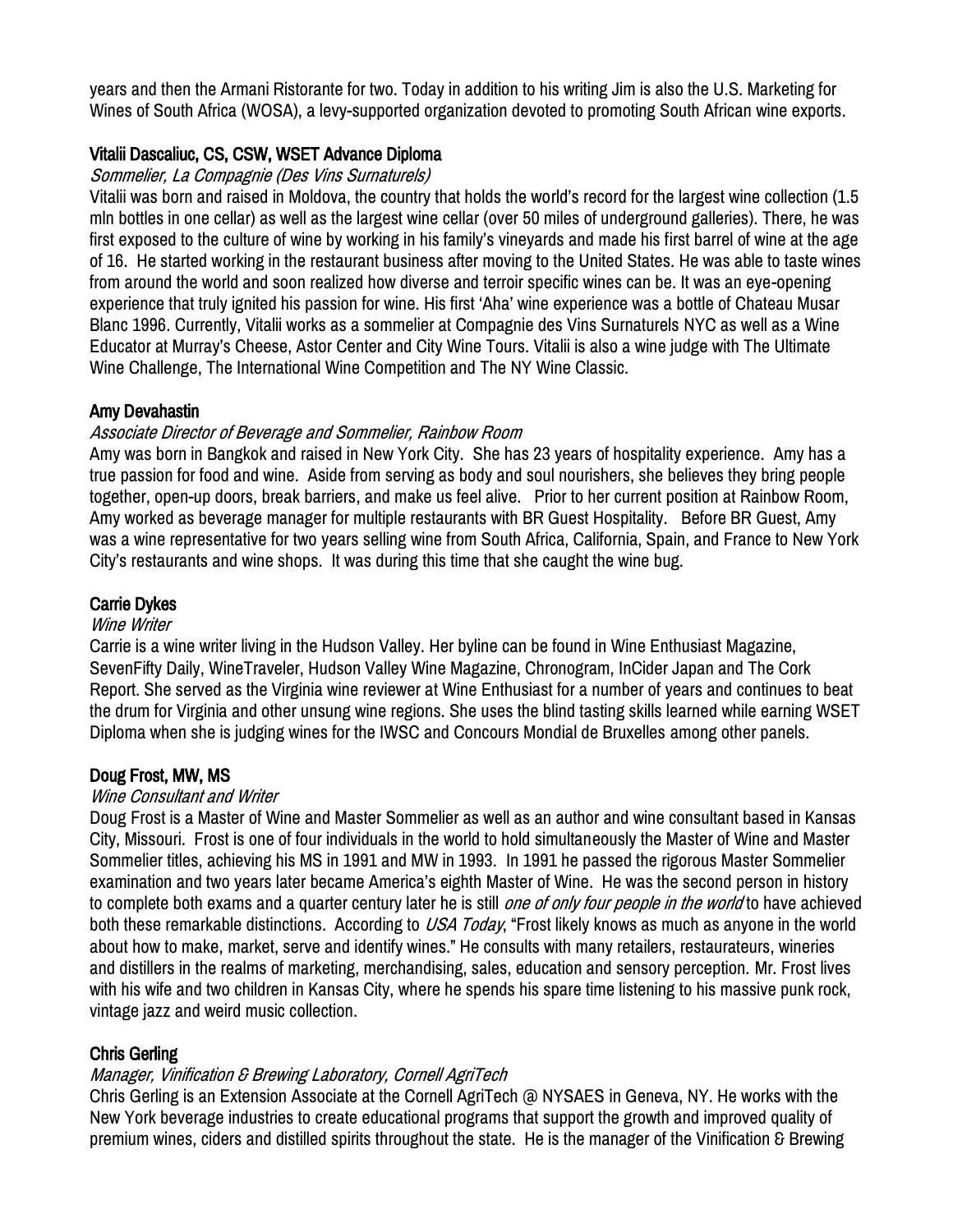years and then the Armani Ristorante for two. Today in addition to his writing Jim is also the U.S. Marketing for Wines of South Africa (WOSA), a levy-supported organization devoted to promoting South African wine exports.

# Vitalii Dascaliuc, CS, CSW, WSET Advance Diploma

#### Sommelier, La Compagnie (Des Vins Surnaturels)

Vitalii was born and raised in Moldova, the country that holds the world's record for the largest wine collection (1.5 mln bottles in one cellar) as well as the largest wine cellar (over 50 miles of underground galleries). There, he was first exposed to the culture of wine by working in his family's vineyards and made his first barrel of wine at the age of 16. He started working in the restaurant business after moving to the United States. He was able to taste wines from around the world and soon realized how diverse and terroir specific wines can be. It was an eye-opening experience that truly ignited his passion for wine. His first 'Aha' wine experience was a bottle of Chateau Musar Blanc 1996. Currently, Vitalii works as a sommelier at Compagnie des Vins Surnaturels NYC as well as a Wine Educator at Murray's Cheese, Astor Center and City Wine Tours. Vitalii is also a wine judge with The Ultimate Wine Challenge, The International Wine Competition and The NY Wine Classic.

### Amy Devahastin

### Associate Director of Beverage and Sommelier, Rainbow Room

Amy was born in Bangkok and raised in New York City. She has 23 years of hospitality experience. Amy has a true passion for food and wine. Aside from serving as body and soul nourishers, she believes they bring people together, open-up doors, break barriers, and make us feel alive. Prior to her current position at Rainbow Room, Amy worked as beverage manager for multiple restaurants with BR Guest Hospitality. Before BR Guest, Amy was a wine representative for two years selling wine from South Africa, California, Spain, and France to New York City's restaurants and wine shops. It was during this time that she caught the wine bug.

### Carrie Dykes

#### Wine Writer

Carrie is a wine writer living in the Hudson Valley. Her byline can be found in Wine Enthusiast Magazine, SevenFifty Daily, WineTraveler, Hudson Valley Wine Magazine, Chronogram, InCider Japan and The Cork Report. She served as the Virginia wine reviewer at Wine Enthusiast for a number of years and continues to beat the drum for Virginia and other unsung wine regions. She uses the blind tasting skills learned while earning WSET Diploma when she is judging wines for the IWSC and Concours Mondial de Bruxelles among other panels.

### Doug Frost, MW, MS

#### Wine Consultant and Writer

Doug Frost is a Master of Wine and Master Sommelier as well as an author and wine consultant based in Kansas City, Missouri. Frost is one of four individuals in the world to hold simultaneously the Master of Wine and Master Sommelier titles, achieving his MS in 1991 and MW in 1993. In 1991 he passed the rigorous Master Sommelier examination and two years later became America's eighth Master of Wine. He was the second person in history to complete both exams and a quarter century later he is still *one of only four people in the world* to have achieved both these remarkable distinctions. According to USA Today, "Frost likely knows as much as anyone in the world about how to make, market, serve and identify wines." He consults with many retailers, restaurateurs, wineries and distillers in the realms of marketing, merchandising, sales, education and sensory perception. Mr. Frost lives with his wife and two children in Kansas City, where he spends his spare time listening to his massive punk rock, vintage jazz and weird music collection.

#### Chris Gerling

### Manager, Vinification & Brewing Laboratory, Cornell AgriTech

Chris Gerling is an Extension Associate at the Cornell AgriTech @ NYSAES in Geneva, NY. He works with the New York beverage industries to create educational programs that support the growth and improved quality of premium wines, ciders and distilled spirits throughout the state. He is the manager of the Vinification & Brewing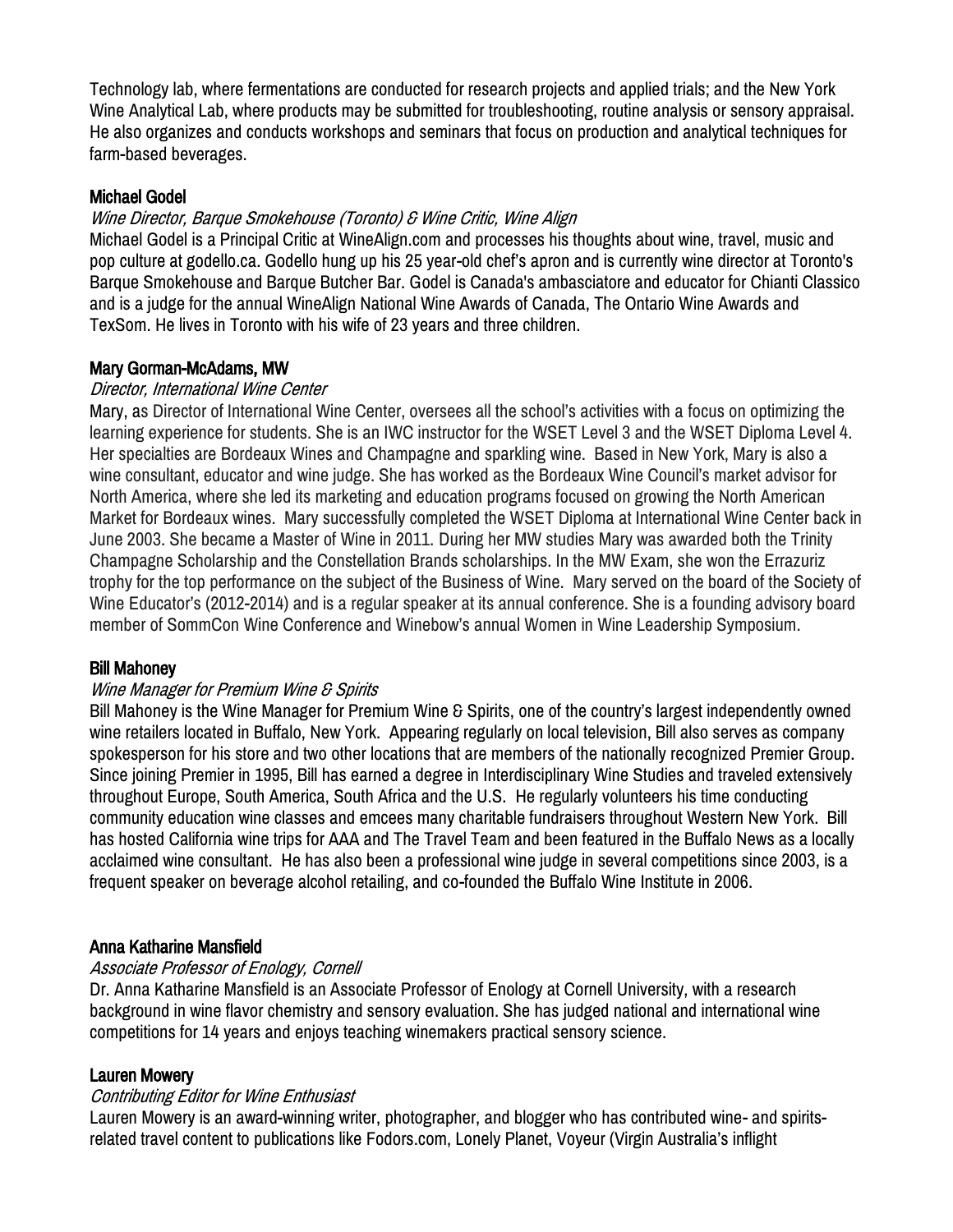Technology lab, where fermentations are conducted for research projects and applied trials; and the New York Wine Analytical Lab, where products may be submitted for troubleshooting, routine analysis or sensory appraisal. He also organizes and conducts workshops and seminars that focus on production and analytical techniques for farm-based beverages.

### Michael Godel

### Wine Director, Barque Smokehouse (Toronto) & Wine Critic, Wine Align

Michael Godel is a Principal Critic at WineAlign.com and processes his thoughts about wine, travel, music and pop culture at godello.ca. Godello hung up his 25 year-old chef's apron and is currently wine director at Toronto's Barque Smokehouse and Barque Butcher Bar. Godel is Canada's ambasciatore and educator for Chianti Classico and is a judge for the annual WineAlign National Wine Awards of Canada, The Ontario Wine Awards and TexSom. He lives in Toronto with his wife of 23 years and three children.

### Mary Gorman-McAdams, MW

### Director, International Wine Center

Mary, as Director of International Wine Center, oversees all the school's activities with a focus on optimizing the learning experience for students. She is an IWC instructor for the WSET Level 3 and the WSET Diploma Level 4. Her specialties are Bordeaux Wines and Champagne and sparkling wine. Based in New York, Mary is also a wine consultant, educator and wine judge. She has worked as the Bordeaux Wine Council's market advisor for North America, where she led its marketing and education programs focused on growing the North American Market for Bordeaux wines. Mary successfully completed the WSET Diploma at International Wine Center back in June 2003. She became a Master of Wine in 2011. During her MW studies Mary was awarded both the Trinity Champagne Scholarship and the Constellation Brands scholarships. In the MW Exam, she won the Errazuriz trophy for the top performance on the subject of the Business of Wine. Mary served on the board of the Society of Wine Educator's (2012-2014) and is a regular speaker at its annual conference. She is a founding advisory board member of SommCon Wine Conference and Winebow's annual Women in Wine Leadership Symposium.

### Bill Mahoney

### Wine Manager for Premium Wine & Spirits

Bill Mahoney is the Wine Manager for Premium Wine & Spirits, one of the country's largest independently owned wine retailers located in Buffalo, New York. Appearing regularly on local television, Bill also serves as company spokesperson for his store and two other locations that are members of the nationally recognized Premier Group. Since joining Premier in 1995, Bill has earned a degree in Interdisciplinary Wine Studies and traveled extensively throughout Europe, South America, South Africa and the U.S. He regularly volunteers his time conducting community education wine classes and emcees many charitable fundraisers throughout Western New York. Bill has hosted California wine trips for AAA and The Travel Team and been featured in the Buffalo News as a locally acclaimed wine consultant. He has also been a professional wine judge in several competitions since 2003, is a frequent speaker on beverage alcohol retailing, and co-founded the Buffalo Wine Institute in 2006.

### Anna Katharine Mansfield

### Associate Professor of Enology, Cornell

Dr. Anna Katharine Mansfield is an Associate Professor of Enology at Cornell University, with a research background in wine flavor chemistry and sensory evaluation. She has judged national and international wine competitions for 14 years and enjoys teaching winemakers practical sensory science.

#### Lauren Mowery

#### Contributing Editor for Wine Enthusiast

Lauren Mowery is an award-winning writer, photographer, and blogger who has contributed wine- and spiritsrelated travel content to publications like Fodors.com, Lonely Planet, Voyeur (Virgin Australia's inflight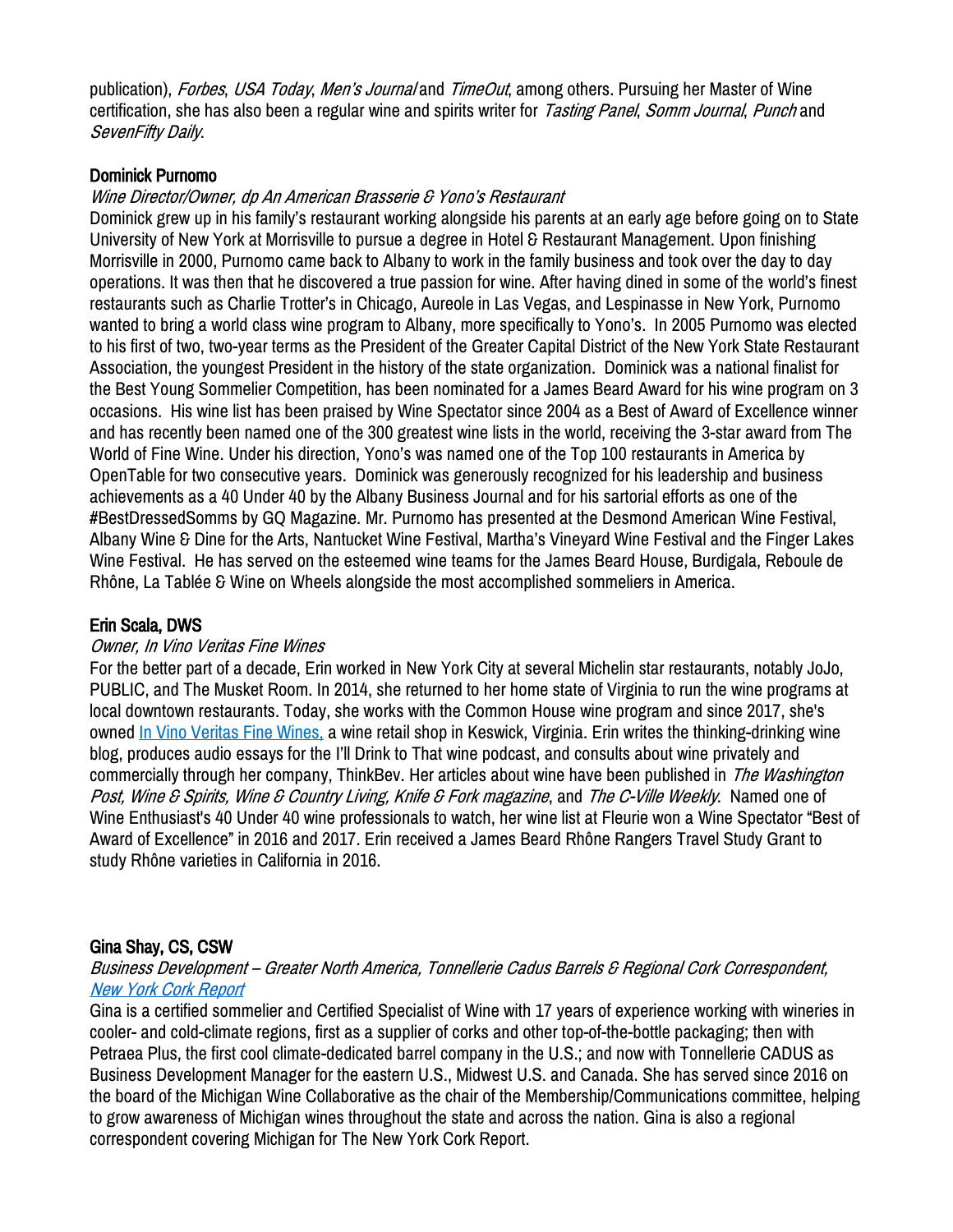publication), Forbes, USA Today, Men's Journal and TimeOut, among others. Pursuing her Master of Wine certification, she has also been a regular wine and spirits writer for Tasting Panel, Somm Journal, Punch and SevenFifty Daily.

#### Dominick Purnomo

#### Wine Director/Owner, dp An American Brasserie & Yono's Restaurant

Dominick grew up in his family's restaurant working alongside his parents at an early age before going on to State University of New York at Morrisville to pursue a degree in Hotel & Restaurant Management. Upon finishing Morrisville in 2000, Purnomo came back to Albany to work in the family business and took over the day to day operations. It was then that he discovered a true passion for wine. After having dined in some of the world's finest restaurants such as Charlie Trotter's in Chicago, Aureole in Las Vegas, and Lespinasse in New York, Purnomo wanted to bring a world class wine program to Albany, more specifically to Yono's. In 2005 Purnomo was elected to his first of two, two-year terms as the President of the Greater Capital District of the New York State Restaurant Association, the youngest President in the history of the state organization. Dominick was a national finalist for the Best Young Sommelier Competition, has been nominated for a James Beard Award for his wine program on 3 occasions. His wine list has been praised by Wine Spectator since 2004 as a Best of Award of Excellence winner and has recently been named one of the 300 greatest wine lists in the world, receiving the 3-star award from The World of Fine Wine. Under his direction, Yono's was named one of the Top 100 restaurants in America by OpenTable for two consecutive years. Dominick was generously recognized for his leadership and business achievements as a 40 Under 40 by the Albany Business Journal and for his sartorial efforts as one of the #BestDressedSomms by GQ Magazine. Mr. Purnomo has presented at the Desmond American Wine Festival, Albany Wine & Dine for the Arts, Nantucket Wine Festival, Martha's Vineyard Wine Festival and the Finger Lakes Wine Festival. He has served on the esteemed wine teams for the James Beard House, Burdigala, Reboule de Rhône, La Tablée & Wine on Wheels alongside the most accomplished sommeliers in America.

#### Erin Scala, DWS

#### Owner, In Vino Veritas Fine Wines

For the better part of a decade, Erin worked in New York City at several Michelin star restaurants, notably JoJo, PUBLIC, and [The Musket Room.](https://www.musketroom.com/) In 2014, she returned to her home state of Virginia to run the wine programs at local downtown restaurants. Today, she works with the [Common House](https://commonhouse.com/) wine program and since 2017, she's owned [In Vino Veritas Fine Wines,](http://www.invinoveritasva.com/) a wine retail shop in Keswick, Virginia. Erin writes the thinking-drinking wine [blog,](https://www.thinking-drinking.com/) produces audio essays for the [I'll Drink to That wine podcast](http://illdrinktothatpod.com/), and consults about wine privately and commercially through her company, ThinkBey, Her articles about wine have been published in *The Washington* Post, Wine & Spirits, Wine & Country Living, Knife & Fork magazine, and The C-Ville Weekly. Named one of Wine Enthusiast's [40 Under 40 wine](https://www.winemag.com/gallery/40-under-40-americas-tastemakers/) professionals to watch, her wine list at Fleurie won a [Wine Spectator "Best of](https://restaurants.winespectator.com/article/54088/sommelier-talk-erin-scala-proves-virginia-is-for-wine-lovers)  [Award of Excellence](https://restaurants.winespectator.com/article/54088/sommelier-talk-erin-scala-proves-virginia-is-for-wine-lovers)" in 2016 and 2017. Erin received a James Beard Rhône Rangers Travel Study Grant to study [Rhône varieties in California](https://www.thinking-drinking.com/blog/a-journey-through-californias-wine-history) in 2016.

#### Gina Shay, CS, CSW

Business Development – Greater North America, Tonnellerie Cadus Barrels & Regional Cork Correspondent, [New York Cork Report](https://newyorkcorkreport.com/)

Gina is a certified sommelier and Certified Specialist of Wine with 17 years of experience working with wineries in cooler- and cold-climate regions, first as a supplier of corks and other top-of-the-bottle packaging; then with Petraea Plus, the first cool climate-dedicated barrel company in the U.S.; and now with Tonnellerie CADUS as Business Development Manager for the eastern U.S., Midwest U.S. and Canada. She has served since 2016 on the board of the Michigan Wine Collaborative as the chair of the Membership/Communications committee, helping to grow awareness of Michigan wines throughout the state and across the nation. Gina is also a regional correspondent covering Michigan for The New York Cork Report.